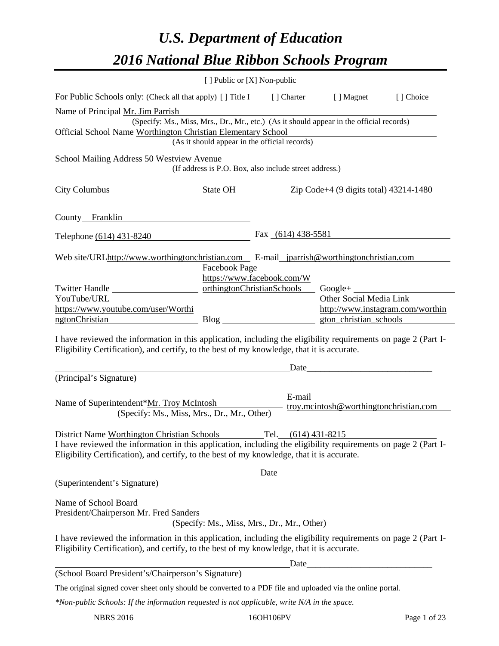# *U.S. Department of Education 2016 National Blue Ribbon Schools Program*

|                                                                                                                                                                                                                                                                                                                                                                                                                                                                                                                           | [ ] Public or [X] Non-public |                                                          |                                                                     |                                  |
|---------------------------------------------------------------------------------------------------------------------------------------------------------------------------------------------------------------------------------------------------------------------------------------------------------------------------------------------------------------------------------------------------------------------------------------------------------------------------------------------------------------------------|------------------------------|----------------------------------------------------------|---------------------------------------------------------------------|----------------------------------|
| For Public Schools only: (Check all that apply) [] Title I                                                                                                                                                                                                                                                                                                                                                                                                                                                                |                              | [ ] Charter                                              | [ ] Magnet                                                          | [] Choice                        |
| Name of Principal Mr. Jim Parrish                                                                                                                                                                                                                                                                                                                                                                                                                                                                                         |                              |                                                          |                                                                     |                                  |
| (Specify: Ms., Miss, Mrs., Dr., Mr., etc.) (As it should appear in the official records)                                                                                                                                                                                                                                                                                                                                                                                                                                  |                              |                                                          |                                                                     |                                  |
| Official School Name Worthington Christian Elementary School                                                                                                                                                                                                                                                                                                                                                                                                                                                              |                              | (As it should appear in the official records)            |                                                                     |                                  |
|                                                                                                                                                                                                                                                                                                                                                                                                                                                                                                                           |                              |                                                          |                                                                     |                                  |
| School Mailing Address 50 Westview Avenue<br>(If address is P.O. Box, also include street address.)                                                                                                                                                                                                                                                                                                                                                                                                                       |                              |                                                          |                                                                     |                                  |
| City Columbus                                                                                                                                                                                                                                                                                                                                                                                                                                                                                                             |                              |                                                          | $\bullet$ State OH $\bullet$ Zip Code+4 (9 digits total) 43214-1480 |                                  |
| County Franklin                                                                                                                                                                                                                                                                                                                                                                                                                                                                                                           |                              |                                                          |                                                                     |                                  |
| Telephone (614) 431-8240                                                                                                                                                                                                                                                                                                                                                                                                                                                                                                  |                              | Fax $(614)$ 438-5581                                     |                                                                     |                                  |
| Web site/URLhttp://www.worthingtonchristian.com E-mail_jparrish@worthingtonchristian.com                                                                                                                                                                                                                                                                                                                                                                                                                                  |                              |                                                          |                                                                     |                                  |
|                                                                                                                                                                                                                                                                                                                                                                                                                                                                                                                           | Facebook Page                |                                                          |                                                                     |                                  |
| Twitter Handle                                                                                                                                                                                                                                                                                                                                                                                                                                                                                                            |                              | https://www.facebook.com/W<br>orthingtonChristianSchools | Google+ $\_\_$                                                      |                                  |
| YouTube/URL                                                                                                                                                                                                                                                                                                                                                                                                                                                                                                               |                              |                                                          | Other Social Media Link                                             |                                  |
| https://www.youtube.com/user/Worthi                                                                                                                                                                                                                                                                                                                                                                                                                                                                                       |                              |                                                          |                                                                     | http://www.instagram.com/worthin |
| ngtonChristian                                                                                                                                                                                                                                                                                                                                                                                                                                                                                                            |                              |                                                          | gton_christian_schools                                              |                                  |
| Eligibility Certification), and certify, to the best of my knowledge, that it is accurate.<br>(Principal's Signature)<br>Name of Superintendent*Mr. Troy McIntosh                                                                                                                                                                                                                                                                                                                                                         |                              | Date<br>E-mail                                           | troy.mcintosh@worthingtonchristian.com                              |                                  |
| (Specify: Ms., Miss, Mrs., Dr., Mr., Other)                                                                                                                                                                                                                                                                                                                                                                                                                                                                               |                              |                                                          |                                                                     |                                  |
| District Name Worthington Christian Schools<br>Tel. (614) 431-8215<br>I have reviewed the information in this application, including the eligibility requirements on page 2 (Part I-<br>Eligibility Certification), and certify, to the best of my knowledge, that it is accurate.<br><u>Date</u> Date Date Dealer Contract and the Contract of the Contract of the Contract of the Contract of the Contract of the Contract of the Contract of the Contract of the Contract of the Contract of the Contract of the Contr |                              |                                                          |                                                                     |                                  |
| (Superintendent's Signature)                                                                                                                                                                                                                                                                                                                                                                                                                                                                                              |                              |                                                          |                                                                     |                                  |
| Name of School Board<br>President/Chairperson Mr. Fred Sanders                                                                                                                                                                                                                                                                                                                                                                                                                                                            |                              | (Specify: Ms., Miss, Mrs., Dr., Mr., Other)              |                                                                     |                                  |
| I have reviewed the information in this application, including the eligibility requirements on page 2 (Part I-<br>Eligibility Certification), and certify, to the best of my knowledge, that it is accurate.                                                                                                                                                                                                                                                                                                              |                              |                                                          |                                                                     |                                  |
| (School Board President's/Chairperson's Signature)                                                                                                                                                                                                                                                                                                                                                                                                                                                                        |                              |                                                          | Date                                                                |                                  |
|                                                                                                                                                                                                                                                                                                                                                                                                                                                                                                                           |                              |                                                          |                                                                     |                                  |
| The original signed cover sheet only should be converted to a PDF file and uploaded via the online portal.<br>$\mathbf{u} \cdot \mathbf{u} \cdot \mathbf{u} \cdot \mathbf{u} \cdot \mathbf{u} \cdot \mathbf{u} \cdot \mathbf{u} \cdot \mathbf{u}$                                                                                                                                                                                                                                                                         |                              |                                                          |                                                                     |                                  |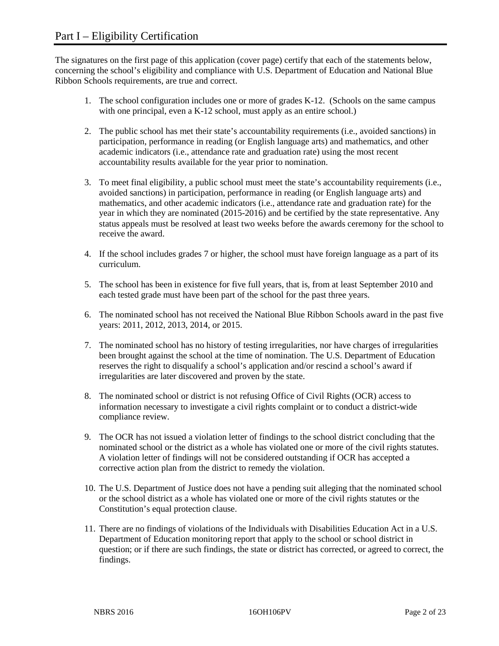The signatures on the first page of this application (cover page) certify that each of the statements below, concerning the school's eligibility and compliance with U.S. Department of Education and National Blue Ribbon Schools requirements, are true and correct.

- 1. The school configuration includes one or more of grades K-12. (Schools on the same campus with one principal, even a K-12 school, must apply as an entire school.)
- 2. The public school has met their state's accountability requirements (i.e., avoided sanctions) in participation, performance in reading (or English language arts) and mathematics, and other academic indicators (i.e., attendance rate and graduation rate) using the most recent accountability results available for the year prior to nomination.
- 3. To meet final eligibility, a public school must meet the state's accountability requirements (i.e., avoided sanctions) in participation, performance in reading (or English language arts) and mathematics, and other academic indicators (i.e., attendance rate and graduation rate) for the year in which they are nominated (2015-2016) and be certified by the state representative. Any status appeals must be resolved at least two weeks before the awards ceremony for the school to receive the award.
- 4. If the school includes grades 7 or higher, the school must have foreign language as a part of its curriculum.
- 5. The school has been in existence for five full years, that is, from at least September 2010 and each tested grade must have been part of the school for the past three years.
- 6. The nominated school has not received the National Blue Ribbon Schools award in the past five years: 2011, 2012, 2013, 2014, or 2015.
- 7. The nominated school has no history of testing irregularities, nor have charges of irregularities been brought against the school at the time of nomination. The U.S. Department of Education reserves the right to disqualify a school's application and/or rescind a school's award if irregularities are later discovered and proven by the state.
- 8. The nominated school or district is not refusing Office of Civil Rights (OCR) access to information necessary to investigate a civil rights complaint or to conduct a district-wide compliance review.
- 9. The OCR has not issued a violation letter of findings to the school district concluding that the nominated school or the district as a whole has violated one or more of the civil rights statutes. A violation letter of findings will not be considered outstanding if OCR has accepted a corrective action plan from the district to remedy the violation.
- 10. The U.S. Department of Justice does not have a pending suit alleging that the nominated school or the school district as a whole has violated one or more of the civil rights statutes or the Constitution's equal protection clause.
- 11. There are no findings of violations of the Individuals with Disabilities Education Act in a U.S. Department of Education monitoring report that apply to the school or school district in question; or if there are such findings, the state or district has corrected, or agreed to correct, the findings.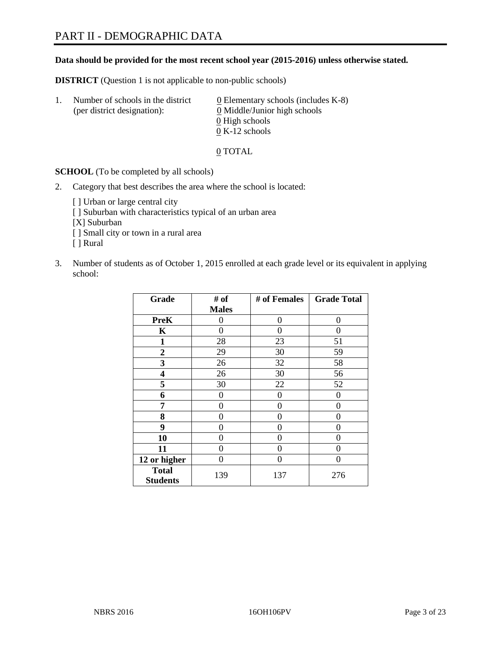#### **Data should be provided for the most recent school year (2015-2016) unless otherwise stated.**

**DISTRICT** (Question 1 is not applicable to non-public schools)

| Ι. | Number of schools in the district<br>(per district designation): | $\underline{0}$ Elementary schools (includes K-8)<br>0 Middle/Junior high schools<br>0 High schools |
|----|------------------------------------------------------------------|-----------------------------------------------------------------------------------------------------|
|    |                                                                  | $0 K-12$ schools                                                                                    |

0 TOTAL

**SCHOOL** (To be completed by all schools)

- 2. Category that best describes the area where the school is located:
	- [] Urban or large central city [ ] Suburban with characteristics typical of an urban area [X] Suburban [ ] Small city or town in a rural area [ ] Rural
- 3. Number of students as of October 1, 2015 enrolled at each grade level or its equivalent in applying school:

| Grade                           | # of         | # of Females | <b>Grade Total</b> |
|---------------------------------|--------------|--------------|--------------------|
|                                 | <b>Males</b> |              |                    |
| <b>PreK</b>                     | 0            | 0            | 0                  |
| K                               | 0            | 0            | $\Omega$           |
| 1                               | 28           | 23           | 51                 |
| $\overline{2}$                  | 29           | 30           | 59                 |
| 3                               | 26           | 32           | 58                 |
| 4                               | 26           | 30           | 56                 |
| 5                               | 30           | 22           | 52                 |
| 6                               | 0            | 0            | $\theta$           |
| 7                               | 0            | $\theta$     | 0                  |
| 8                               | 0            | 0            | 0                  |
| 9                               | 0            | 0            | 0                  |
| 10                              | 0            | 0            | $\theta$           |
| 11                              | $\theta$     | 0            | $\Omega$           |
| 12 or higher                    | 0            | 0            | $\theta$           |
| <b>Total</b><br><b>Students</b> | 139          | 137          | 276                |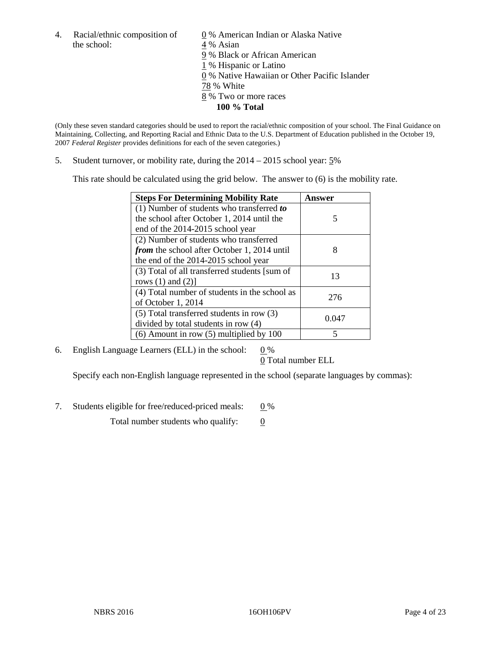4. Racial/ethnic composition of  $\qquad 0\%$  American Indian or Alaska Native the school: 4 % Asian

 % Black or African American % Hispanic or Latino % Native Hawaiian or Other Pacific Islander 78 % White % Two or more races **100 % Total**

(Only these seven standard categories should be used to report the racial/ethnic composition of your school. The Final Guidance on Maintaining, Collecting, and Reporting Racial and Ethnic Data to the U.S. Department of Education published in the October 19, 2007 *Federal Register* provides definitions for each of the seven categories.)

5. Student turnover, or mobility rate, during the 2014 – 2015 school year: 5%

This rate should be calculated using the grid below. The answer to (6) is the mobility rate.

| <b>Steps For Determining Mobility Rate</b>         | Answer |
|----------------------------------------------------|--------|
| (1) Number of students who transferred to          |        |
| the school after October 1, 2014 until the         | 5      |
| end of the 2014-2015 school year                   |        |
| (2) Number of students who transferred             |        |
| <i>from</i> the school after October 1, 2014 until | 8      |
| the end of the 2014-2015 school year               |        |
| (3) Total of all transferred students [sum of      | 13     |
| rows $(1)$ and $(2)$ ]                             |        |
| (4) Total number of students in the school as      | 276    |
| of October 1, 2014                                 |        |
| $(5)$ Total transferred students in row $(3)$      | 0.047  |
| divided by total students in row (4)               |        |
| $(6)$ Amount in row $(5)$ multiplied by 100        | 5      |

6. English Language Learners (ELL) in the school:  $0\%$ 

0 Total number ELL

Specify each non-English language represented in the school (separate languages by commas):

7. Students eligible for free/reduced-priced meals:  $0\%$ 

Total number students who qualify:  $\qquad 0$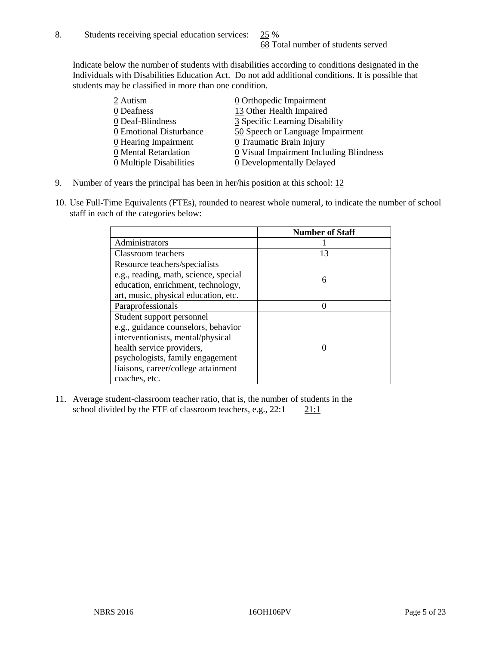Indicate below the number of students with disabilities according to conditions designated in the Individuals with Disabilities Education Act. Do not add additional conditions. It is possible that students may be classified in more than one condition.

| 2 Autism                              | 0 Orthopedic Impairment                 |
|---------------------------------------|-----------------------------------------|
| 0 Deafness                            | 13 Other Health Impaired                |
| 0 Deaf-Blindness                      | 3 Specific Learning Disability          |
| 0 Emotional Disturbance               | 50 Speech or Language Impairment        |
| 0 Hearing Impairment                  | 0 Traumatic Brain Injury                |
| 0 Mental Retardation                  | 0 Visual Impairment Including Blindness |
| $\underline{0}$ Multiple Disabilities | <b>0</b> Developmentally Delayed        |

- 9. Number of years the principal has been in her/his position at this school:  $12$
- 10. Use Full-Time Equivalents (FTEs), rounded to nearest whole numeral, to indicate the number of school staff in each of the categories below:

|                                       | <b>Number of Staff</b> |
|---------------------------------------|------------------------|
| Administrators                        |                        |
| Classroom teachers                    | 13                     |
| Resource teachers/specialists         |                        |
| e.g., reading, math, science, special | 6                      |
| education, enrichment, technology,    |                        |
| art, music, physical education, etc.  |                        |
| Paraprofessionals                     |                        |
| Student support personnel             |                        |
| e.g., guidance counselors, behavior   |                        |
| interventionists, mental/physical     |                        |
| health service providers,             |                        |
| psychologists, family engagement      |                        |
| liaisons, career/college attainment   |                        |
| coaches, etc.                         |                        |

11. Average student-classroom teacher ratio, that is, the number of students in the school divided by the FTE of classroom teachers, e.g.,  $22:1$  21:1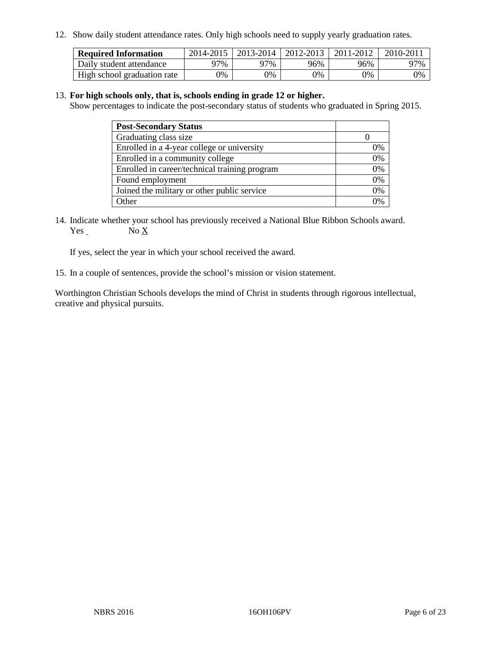12. Show daily student attendance rates. Only high schools need to supply yearly graduation rates.

| <b>Required Information</b> |     | 2014-2015   2013-2014 | $2012 - 2013$ | 2011-2012 | 2010-2011 |
|-----------------------------|-----|-----------------------|---------------|-----------|-----------|
| Daily student attendance    | 97% | 97%                   | 96%           | 96%       | 97%       |
| High school graduation rate | 0%  | 0%                    | $0\%$         | 9%        | 0%        |

#### 13. **For high schools only, that is, schools ending in grade 12 or higher.**

Show percentages to indicate the post-secondary status of students who graduated in Spring 2015.

| <b>Post-Secondary Status</b>                  |    |
|-----------------------------------------------|----|
| Graduating class size                         |    |
| Enrolled in a 4-year college or university    | 0% |
| Enrolled in a community college               | 0% |
| Enrolled in career/technical training program | 0% |
| Found employment                              | 0% |
| Joined the military or other public service   | 0% |
| Other                                         | 0/ |

14. Indicate whether your school has previously received a National Blue Ribbon Schools award. Yes No X

If yes, select the year in which your school received the award.

15. In a couple of sentences, provide the school's mission or vision statement.

Worthington Christian Schools develops the mind of Christ in students through rigorous intellectual, creative and physical pursuits.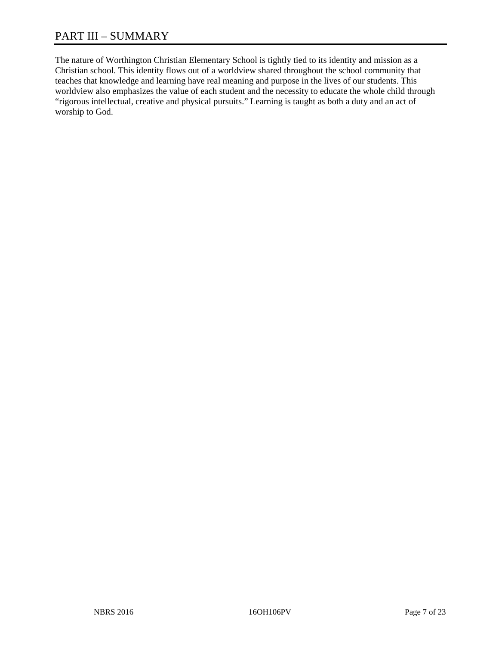# PART III – SUMMARY

The nature of Worthington Christian Elementary School is tightly tied to its identity and mission as a Christian school. This identity flows out of a worldview shared throughout the school community that teaches that knowledge and learning have real meaning and purpose in the lives of our students. This worldview also emphasizes the value of each student and the necessity to educate the whole child through "rigorous intellectual, creative and physical pursuits." Learning is taught as both a duty and an act of worship to God.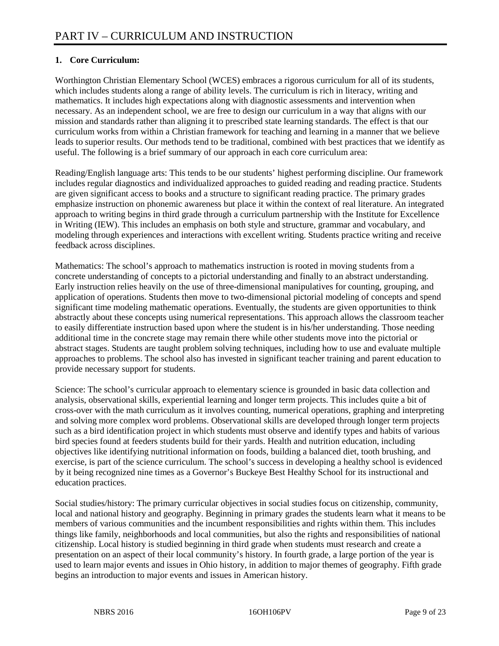# **1. Core Curriculum:**

Worthington Christian Elementary School (WCES) embraces a rigorous curriculum for all of its students, which includes students along a range of ability levels. The curriculum is rich in literacy, writing and mathematics. It includes high expectations along with diagnostic assessments and intervention when necessary. As an independent school, we are free to design our curriculum in a way that aligns with our mission and standards rather than aligning it to prescribed state learning standards. The effect is that our curriculum works from within a Christian framework for teaching and learning in a manner that we believe leads to superior results. Our methods tend to be traditional, combined with best practices that we identify as useful. The following is a brief summary of our approach in each core curriculum area:

Reading/English language arts: This tends to be our students' highest performing discipline. Our framework includes regular diagnostics and individualized approaches to guided reading and reading practice. Students are given significant access to books and a structure to significant reading practice. The primary grades emphasize instruction on phonemic awareness but place it within the context of real literature. An integrated approach to writing begins in third grade through a curriculum partnership with the Institute for Excellence in Writing (IEW). This includes an emphasis on both style and structure, grammar and vocabulary, and modeling through experiences and interactions with excellent writing. Students practice writing and receive feedback across disciplines.

Mathematics: The school's approach to mathematics instruction is rooted in moving students from a concrete understanding of concepts to a pictorial understanding and finally to an abstract understanding. Early instruction relies heavily on the use of three-dimensional manipulatives for counting, grouping, and application of operations. Students then move to two-dimensional pictorial modeling of concepts and spend significant time modeling mathematic operations. Eventually, the students are given opportunities to think abstractly about these concepts using numerical representations. This approach allows the classroom teacher to easily differentiate instruction based upon where the student is in his/her understanding. Those needing additional time in the concrete stage may remain there while other students move into the pictorial or abstract stages. Students are taught problem solving techniques, including how to use and evaluate multiple approaches to problems. The school also has invested in significant teacher training and parent education to provide necessary support for students.

Science: The school's curricular approach to elementary science is grounded in basic data collection and analysis, observational skills, experiential learning and longer term projects. This includes quite a bit of cross-over with the math curriculum as it involves counting, numerical operations, graphing and interpreting and solving more complex word problems. Observational skills are developed through longer term projects such as a bird identification project in which students must observe and identify types and habits of various bird species found at feeders students build for their yards. Health and nutrition education, including objectives like identifying nutritional information on foods, building a balanced diet, tooth brushing, and exercise, is part of the science curriculum. The school's success in developing a healthy school is evidenced by it being recognized nine times as a Governor's Buckeye Best Healthy School for its instructional and education practices.

Social studies/history: The primary curricular objectives in social studies focus on citizenship, community, local and national history and geography. Beginning in primary grades the students learn what it means to be members of various communities and the incumbent responsibilities and rights within them. This includes things like family, neighborhoods and local communities, but also the rights and responsibilities of national citizenship. Local history is studied beginning in third grade when students must research and create a presentation on an aspect of their local community's history. In fourth grade, a large portion of the year is used to learn major events and issues in Ohio history, in addition to major themes of geography. Fifth grade begins an introduction to major events and issues in American history.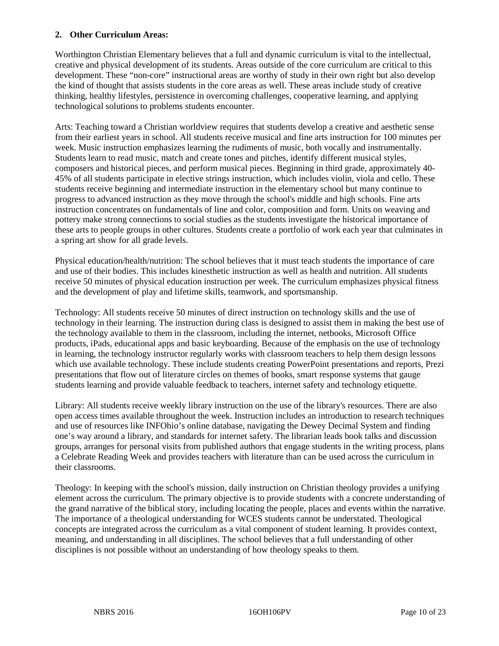#### **2. Other Curriculum Areas:**

Worthington Christian Elementary believes that a full and dynamic curriculum is vital to the intellectual, creative and physical development of its students. Areas outside of the core curriculum are critical to this development. These "non-core" instructional areas are worthy of study in their own right but also develop the kind of thought that assists students in the core areas as well. These areas include study of creative thinking, healthy lifestyles, persistence in overcoming challenges, cooperative learning, and applying technological solutions to problems students encounter.

Arts: Teaching toward a Christian worldview requires that students develop a creative and aesthetic sense from their earliest years in school. All students receive musical and fine arts instruction for 100 minutes per week. Music instruction emphasizes learning the rudiments of music, both vocally and instrumentally. Students learn to read music, match and create tones and pitches, identify different musical styles, composers and historical pieces, and perform musical pieces. Beginning in third grade, approximately 40- 45% of all students participate in elective strings instruction, which includes violin, viola and cello. These students receive beginning and intermediate instruction in the elementary school but many continue to progress to advanced instruction as they move through the school's middle and high schools. Fine arts instruction concentrates on fundamentals of line and color, composition and form. Units on weaving and pottery make strong connections to social studies as the students investigate the historical importance of these arts to people groups in other cultures. Students create a portfolio of work each year that culminates in a spring art show for all grade levels.

Physical education/health/nutrition: The school believes that it must teach students the importance of care and use of their bodies. This includes kinesthetic instruction as well as health and nutrition. All students receive 50 minutes of physical education instruction per week. The curriculum emphasizes physical fitness and the development of play and lifetime skills, teamwork, and sportsmanship.

Technology: All students receive 50 minutes of direct instruction on technology skills and the use of technology in their learning. The instruction during class is designed to assist them in making the best use of the technology available to them in the classroom, including the internet, netbooks, Microsoft Office products, iPads, educational apps and basic keyboarding. Because of the emphasis on the use of technology in learning, the technology instructor regularly works with classroom teachers to help them design lessons which use available technology. These include students creating PowerPoint presentations and reports, Prezi presentations that flow out of literature circles on themes of books, smart response systems that gauge students learning and provide valuable feedback to teachers, internet safety and technology etiquette.

Library: All students receive weekly library instruction on the use of the library's resources. There are also open access times available throughout the week. Instruction includes an introduction to research techniques and use of resources like INFOhio's online database, navigating the Dewey Decimal System and finding one's way around a library, and standards for internet safety. The librarian leads book talks and discussion groups, arranges for personal visits from published authors that engage students in the writing process, plans a Celebrate Reading Week and provides teachers with literature than can be used across the curriculum in their classrooms.

Theology: In keeping with the school's mission, daily instruction on Christian theology provides a unifying element across the curriculum. The primary objective is to provide students with a concrete understanding of the grand narrative of the biblical story, including locating the people, places and events within the narrative. The importance of a theological understanding for WCES students cannot be understated. Theological concepts are integrated across the curriculum as a vital component of student learning. It provides context, meaning, and understanding in all disciplines. The school believes that a full understanding of other disciplines is not possible without an understanding of how theology speaks to them.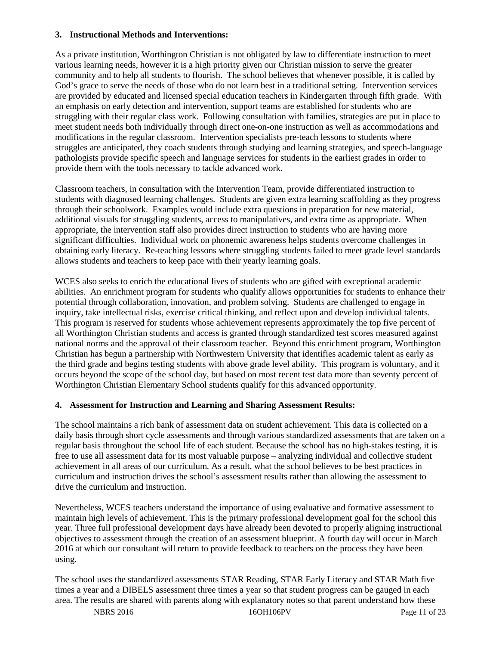#### **3. Instructional Methods and Interventions:**

As a private institution, Worthington Christian is not obligated by law to differentiate instruction to meet various learning needs, however it is a high priority given our Christian mission to serve the greater community and to help all students to flourish. The school believes that whenever possible, it is called by God's grace to serve the needs of those who do not learn best in a traditional setting. Intervention services are provided by educated and licensed special education teachers in Kindergarten through fifth grade. With an emphasis on early detection and intervention, support teams are established for students who are struggling with their regular class work. Following consultation with families, strategies are put in place to meet student needs both individually through direct one-on-one instruction as well as accommodations and modifications in the regular classroom. Intervention specialists pre-teach lessons to students where struggles are anticipated, they coach students through studying and learning strategies, and speech-language pathologists provide specific speech and language services for students in the earliest grades in order to provide them with the tools necessary to tackle advanced work.

Classroom teachers, in consultation with the Intervention Team, provide differentiated instruction to students with diagnosed learning challenges. Students are given extra learning scaffolding as they progress through their schoolwork. Examples would include extra questions in preparation for new material, additional visuals for struggling students, access to manipulatives, and extra time as appropriate. When appropriate, the intervention staff also provides direct instruction to students who are having more significant difficulties. Individual work on phonemic awareness helps students overcome challenges in obtaining early literacy. Re-teaching lessons where struggling students failed to meet grade level standards allows students and teachers to keep pace with their yearly learning goals.

WCES also seeks to enrich the educational lives of students who are gifted with exceptional academic abilities. An enrichment program for students who qualify allows opportunities for students to enhance their potential through collaboration, innovation, and problem solving. Students are challenged to engage in inquiry, take intellectual risks, exercise critical thinking, and reflect upon and develop individual talents. This program is reserved for students whose achievement represents approximately the top five percent of all Worthington Christian students and access is granted through standardized test scores measured against national norms and the approval of their classroom teacher. Beyond this enrichment program, Worthington Christian has begun a partnership with Northwestern University that identifies academic talent as early as the third grade and begins testing students with above grade level ability. This program is voluntary, and it occurs beyond the scope of the school day, but based on most recent test data more than seventy percent of Worthington Christian Elementary School students qualify for this advanced opportunity.

#### **4. Assessment for Instruction and Learning and Sharing Assessment Results:**

The school maintains a rich bank of assessment data on student achievement. This data is collected on a daily basis through short cycle assessments and through various standardized assessments that are taken on a regular basis throughout the school life of each student. Because the school has no high-stakes testing, it is free to use all assessment data for its most valuable purpose – analyzing individual and collective student achievement in all areas of our curriculum. As a result, what the school believes to be best practices in curriculum and instruction drives the school's assessment results rather than allowing the assessment to drive the curriculum and instruction.

Nevertheless, WCES teachers understand the importance of using evaluative and formative assessment to maintain high levels of achievement. This is the primary professional development goal for the school this year. Three full professional development days have already been devoted to properly aligning instructional objectives to assessment through the creation of an assessment blueprint. A fourth day will occur in March 2016 at which our consultant will return to provide feedback to teachers on the process they have been using.

The school uses the standardized assessments STAR Reading, STAR Early Literacy and STAR Math five times a year and a DIBELS assessment three times a year so that student progress can be gauged in each area. The results are shared with parents along with explanatory notes so that parent understand how these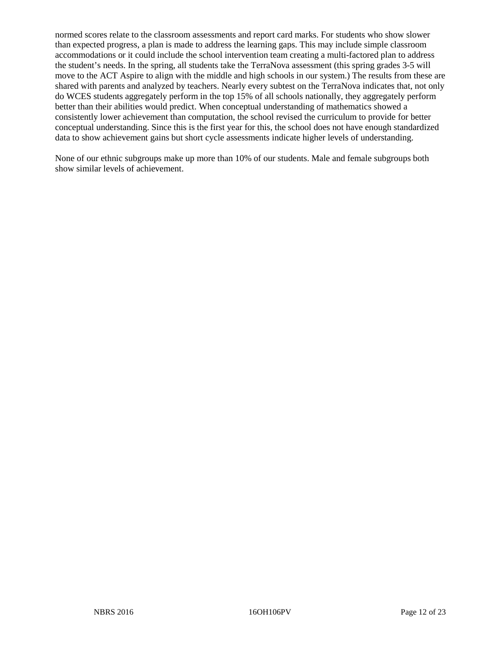normed scores relate to the classroom assessments and report card marks. For students who show slower than expected progress, a plan is made to address the learning gaps. This may include simple classroom accommodations or it could include the school intervention team creating a multi-factored plan to address the student's needs. In the spring, all students take the TerraNova assessment (this spring grades 3-5 will move to the ACT Aspire to align with the middle and high schools in our system.) The results from these are shared with parents and analyzed by teachers. Nearly every subtest on the TerraNova indicates that, not only do WCES students aggregately perform in the top 15% of all schools nationally, they aggregately perform better than their abilities would predict. When conceptual understanding of mathematics showed a consistently lower achievement than computation, the school revised the curriculum to provide for better conceptual understanding. Since this is the first year for this, the school does not have enough standardized data to show achievement gains but short cycle assessments indicate higher levels of understanding.

None of our ethnic subgroups make up more than 10% of our students. Male and female subgroups both show similar levels of achievement.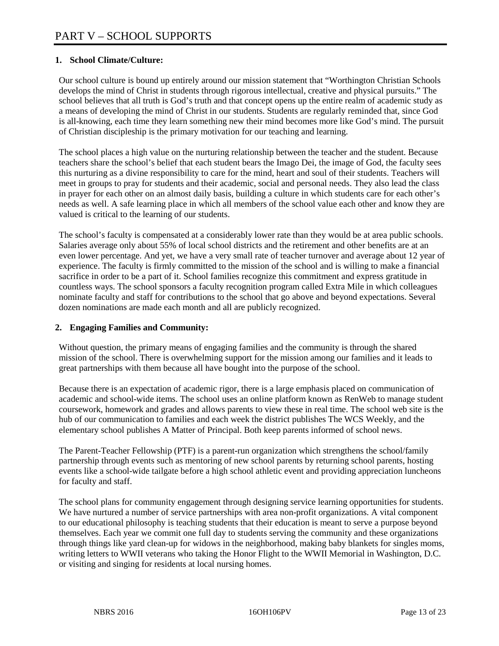#### **1. School Climate/Culture:**

Our school culture is bound up entirely around our mission statement that "Worthington Christian Schools develops the mind of Christ in students through rigorous intellectual, creative and physical pursuits." The school believes that all truth is God's truth and that concept opens up the entire realm of academic study as a means of developing the mind of Christ in our students. Students are regularly reminded that, since God is all-knowing, each time they learn something new their mind becomes more like God's mind. The pursuit of Christian discipleship is the primary motivation for our teaching and learning.

The school places a high value on the nurturing relationship between the teacher and the student. Because teachers share the school's belief that each student bears the Imago Dei, the image of God, the faculty sees this nurturing as a divine responsibility to care for the mind, heart and soul of their students. Teachers will meet in groups to pray for students and their academic, social and personal needs. They also lead the class in prayer for each other on an almost daily basis, building a culture in which students care for each other's needs as well. A safe learning place in which all members of the school value each other and know they are valued is critical to the learning of our students.

The school's faculty is compensated at a considerably lower rate than they would be at area public schools. Salaries average only about 55% of local school districts and the retirement and other benefits are at an even lower percentage. And yet, we have a very small rate of teacher turnover and average about 12 year of experience. The faculty is firmly committed to the mission of the school and is willing to make a financial sacrifice in order to be a part of it. School families recognize this commitment and express gratitude in countless ways. The school sponsors a faculty recognition program called Extra Mile in which colleagues nominate faculty and staff for contributions to the school that go above and beyond expectations. Several dozen nominations are made each month and all are publicly recognized.

#### **2. Engaging Families and Community:**

Without question, the primary means of engaging families and the community is through the shared mission of the school. There is overwhelming support for the mission among our families and it leads to great partnerships with them because all have bought into the purpose of the school.

Because there is an expectation of academic rigor, there is a large emphasis placed on communication of academic and school-wide items. The school uses an online platform known as RenWeb to manage student coursework, homework and grades and allows parents to view these in real time. The school web site is the hub of our communication to families and each week the district publishes The WCS Weekly, and the elementary school publishes A Matter of Principal. Both keep parents informed of school news.

The Parent-Teacher Fellowship (PTF) is a parent-run organization which strengthens the school/family partnership through events such as mentoring of new school parents by returning school parents, hosting events like a school-wide tailgate before a high school athletic event and providing appreciation luncheons for faculty and staff.

The school plans for community engagement through designing service learning opportunities for students. We have nurtured a number of service partnerships with area non-profit organizations. A vital component to our educational philosophy is teaching students that their education is meant to serve a purpose beyond themselves. Each year we commit one full day to students serving the community and these organizations through things like yard clean-up for widows in the neighborhood, making baby blankets for singles moms, writing letters to WWII veterans who taking the Honor Flight to the WWII Memorial in Washington, D.C. or visiting and singing for residents at local nursing homes.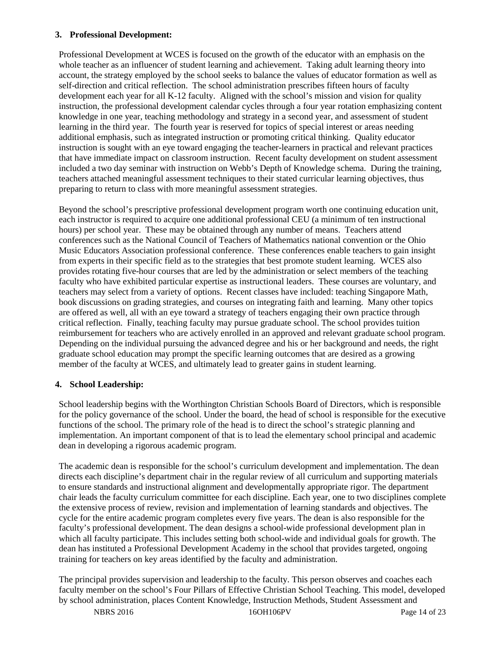#### **3. Professional Development:**

Professional Development at WCES is focused on the growth of the educator with an emphasis on the whole teacher as an influencer of student learning and achievement. Taking adult learning theory into account, the strategy employed by the school seeks to balance the values of educator formation as well as self-direction and critical reflection. The school administration prescribes fifteen hours of faculty development each year for all K-12 faculty. Aligned with the school's mission and vision for quality instruction, the professional development calendar cycles through a four year rotation emphasizing content knowledge in one year, teaching methodology and strategy in a second year, and assessment of student learning in the third year. The fourth year is reserved for topics of special interest or areas needing additional emphasis, such as integrated instruction or promoting critical thinking. Quality educator instruction is sought with an eye toward engaging the teacher-learners in practical and relevant practices that have immediate impact on classroom instruction. Recent faculty development on student assessment included a two day seminar with instruction on Webb's Depth of Knowledge schema. During the training, teachers attached meaningful assessment techniques to their stated curricular learning objectives, thus preparing to return to class with more meaningful assessment strategies.

Beyond the school's prescriptive professional development program worth one continuing education unit, each instructor is required to acquire one additional professional CEU (a minimum of ten instructional hours) per school year. These may be obtained through any number of means. Teachers attend conferences such as the National Council of Teachers of Mathematics national convention or the Ohio Music Educators Association professional conference. These conferences enable teachers to gain insight from experts in their specific field as to the strategies that best promote student learning. WCES also provides rotating five-hour courses that are led by the administration or select members of the teaching faculty who have exhibited particular expertise as instructional leaders. These courses are voluntary, and teachers may select from a variety of options. Recent classes have included: teaching Singapore Math, book discussions on grading strategies, and courses on integrating faith and learning. Many other topics are offered as well, all with an eye toward a strategy of teachers engaging their own practice through critical reflection. Finally, teaching faculty may pursue graduate school. The school provides tuition reimbursement for teachers who are actively enrolled in an approved and relevant graduate school program. Depending on the individual pursuing the advanced degree and his or her background and needs, the right graduate school education may prompt the specific learning outcomes that are desired as a growing member of the faculty at WCES, and ultimately lead to greater gains in student learning.

### **4. School Leadership:**

School leadership begins with the Worthington Christian Schools Board of Directors, which is responsible for the policy governance of the school. Under the board, the head of school is responsible for the executive functions of the school. The primary role of the head is to direct the school's strategic planning and implementation. An important component of that is to lead the elementary school principal and academic dean in developing a rigorous academic program.

The academic dean is responsible for the school's curriculum development and implementation. The dean directs each discipline's department chair in the regular review of all curriculum and supporting materials to ensure standards and instructional alignment and developmentally appropriate rigor. The department chair leads the faculty curriculum committee for each discipline. Each year, one to two disciplines complete the extensive process of review, revision and implementation of learning standards and objectives. The cycle for the entire academic program completes every five years. The dean is also responsible for the faculty's professional development. The dean designs a school-wide professional development plan in which all faculty participate. This includes setting both school-wide and individual goals for growth. The dean has instituted a Professional Development Academy in the school that provides targeted, ongoing training for teachers on key areas identified by the faculty and administration.

The principal provides supervision and leadership to the faculty. This person observes and coaches each faculty member on the school's Four Pillars of Effective Christian School Teaching. This model, developed by school administration, places Content Knowledge, Instruction Methods, Student Assessment and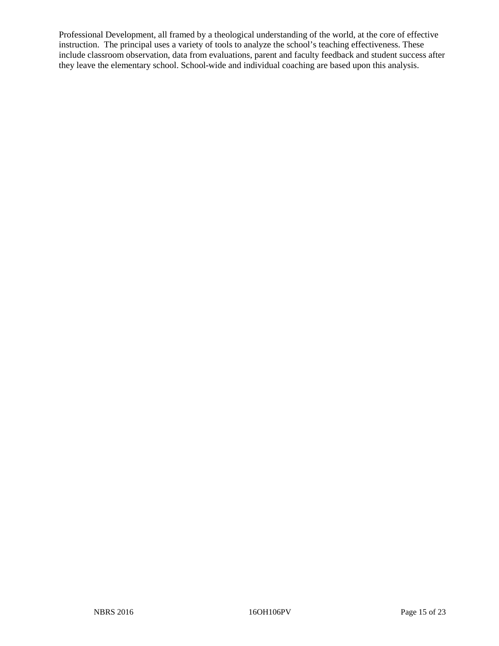Professional Development, all framed by a theological understanding of the world, at the core of effective instruction. The principal uses a variety of tools to analyze the school's teaching effectiveness. These include classroom observation, data from evaluations, parent and faculty feedback and student success after they leave the elementary school. School-wide and individual coaching are based upon this analysis.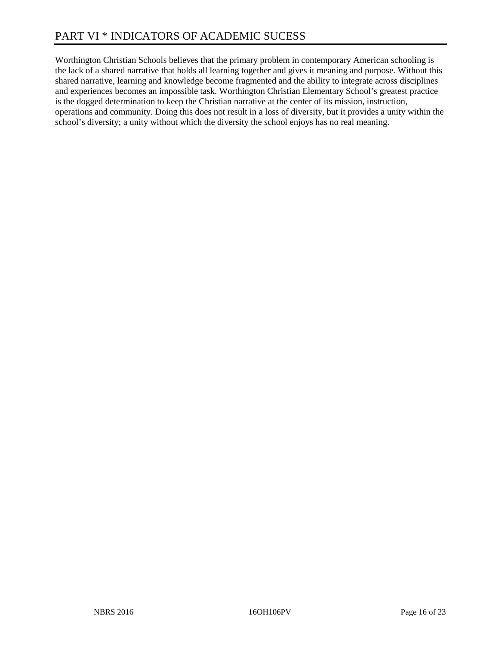Worthington Christian Schools believes that the primary problem in contemporary American schooling is the lack of a shared narrative that holds all learning together and gives it meaning and purpose. Without this shared narrative, learning and knowledge become fragmented and the ability to integrate across disciplines and experiences becomes an impossible task. Worthington Christian Elementary School's greatest practice is the dogged determination to keep the Christian narrative at the center of its mission, instruction, operations and community. Doing this does not result in a loss of diversity, but it provides a unity within the school's diversity; a unity without which the diversity the school enjoys has no real meaning.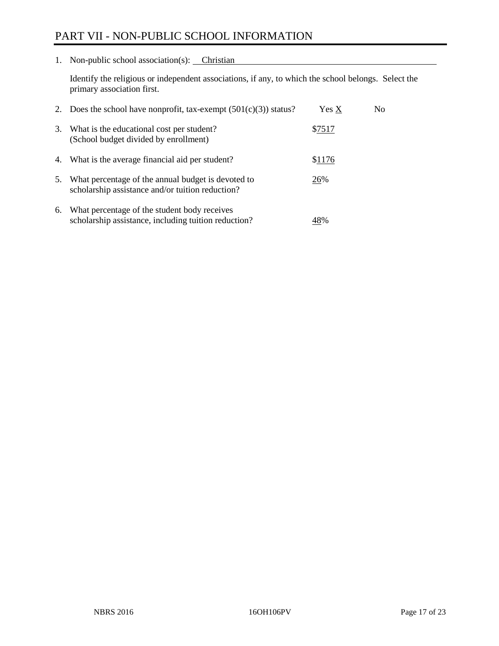# PART VII - NON-PUBLIC SCHOOL INFORMATION

1. Non-public school association(s): Christian

Identify the religious or independent associations, if any, to which the school belongs. Select the primary association first.

| 2. | Does the school have nonprofit, tax-exempt $(501(c)(3))$ status?                                       | Yes X  | No. |
|----|--------------------------------------------------------------------------------------------------------|--------|-----|
| 3. | What is the educational cost per student?<br>(School budget divided by enrollment)                     | \$7517 |     |
| 4. | What is the average financial aid per student?                                                         | \$1176 |     |
| 5. | What percentage of the annual budget is devoted to<br>scholarship assistance and/or tuition reduction? | 26%    |     |
| 6. | What percentage of the student body receives<br>scholarship assistance, including tuition reduction?   | 48%    |     |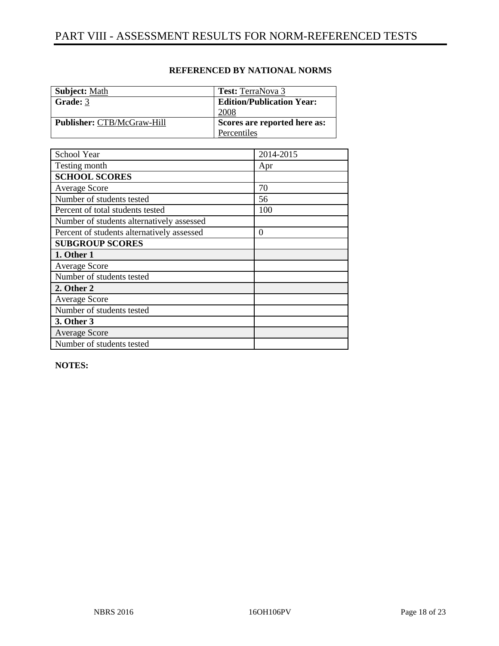| <b>Subject:</b> Math              | <b>Test:</b> TerraNova 3         |
|-----------------------------------|----------------------------------|
| Grade: 3                          | <b>Edition/Publication Year:</b> |
|                                   | 2008                             |
| <b>Publisher: CTB/McGraw-Hill</b> | Scores are reported here as:     |
|                                   | Percentiles                      |

| School Year                                | 2014-2015 |
|--------------------------------------------|-----------|
| Testing month                              | Apr       |
| <b>SCHOOL SCORES</b>                       |           |
| <b>Average Score</b>                       | 70        |
| Number of students tested                  | 56        |
| Percent of total students tested           | 100       |
| Number of students alternatively assessed  |           |
| Percent of students alternatively assessed | $\theta$  |
| <b>SUBGROUP SCORES</b>                     |           |
| 1. Other 1                                 |           |
| <b>Average Score</b>                       |           |
| Number of students tested                  |           |
| 2. Other 2                                 |           |
| <b>Average Score</b>                       |           |
| Number of students tested                  |           |
| 3. Other 3                                 |           |
| <b>Average Score</b>                       |           |
| Number of students tested                  |           |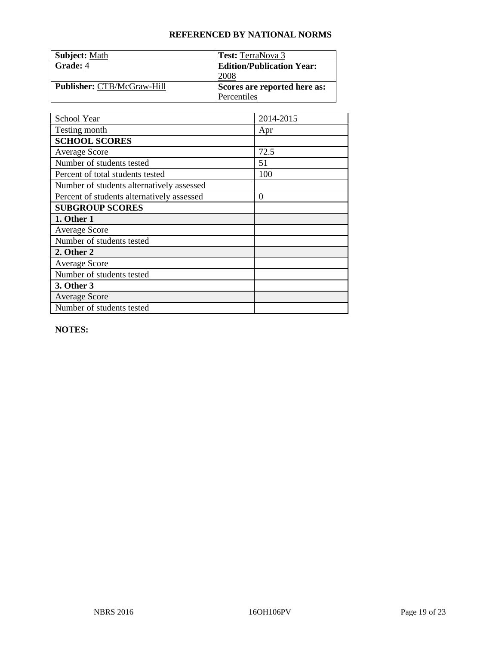| <b>Subject: Math</b>              | <b>Test:</b> TerraNova 3         |
|-----------------------------------|----------------------------------|
| Grade: 4                          | <b>Edition/Publication Year:</b> |
|                                   | 2008                             |
| <b>Publisher: CTB/McGraw-Hill</b> | Scores are reported here as:     |
|                                   | Percentiles                      |

| School Year                                | 2014-2015        |
|--------------------------------------------|------------------|
| Testing month                              | Apr              |
| <b>SCHOOL SCORES</b>                       |                  |
| <b>Average Score</b>                       | 72.5             |
| Number of students tested                  | 51               |
| Percent of total students tested           | 100              |
| Number of students alternatively assessed  |                  |
| Percent of students alternatively assessed | $\boldsymbol{0}$ |
| <b>SUBGROUP SCORES</b>                     |                  |
| 1. Other 1                                 |                  |
| Average Score                              |                  |
| Number of students tested                  |                  |
| 2. Other 2                                 |                  |
| <b>Average Score</b>                       |                  |
| Number of students tested                  |                  |
| 3. Other 3                                 |                  |
| <b>Average Score</b>                       |                  |
| Number of students tested                  |                  |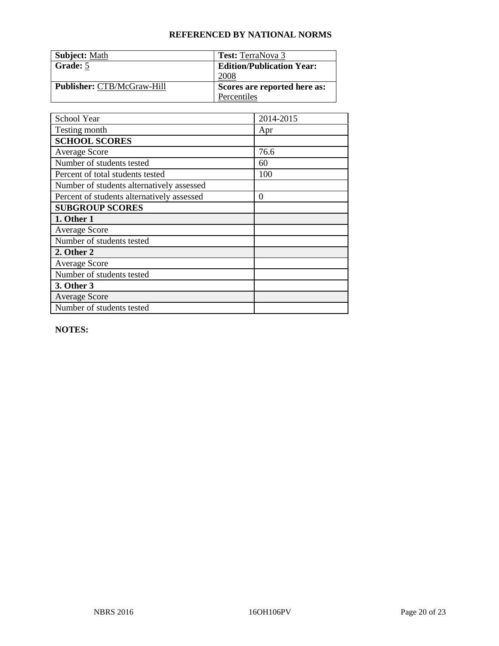| <b>Subject: Math</b>              | <b>Test:</b> TerraNova 3         |
|-----------------------------------|----------------------------------|
| Grade: 5                          | <b>Edition/Publication Year:</b> |
|                                   | 2008                             |
| <b>Publisher: CTB/McGraw-Hill</b> | Scores are reported here as:     |
|                                   | Percentiles                      |

| School Year                                | 2014-2015        |
|--------------------------------------------|------------------|
| Testing month                              | Apr              |
| <b>SCHOOL SCORES</b>                       |                  |
| <b>Average Score</b>                       | 76.6             |
| Number of students tested                  | 60               |
| Percent of total students tested           | 100              |
| Number of students alternatively assessed  |                  |
| Percent of students alternatively assessed | $\boldsymbol{0}$ |
| <b>SUBGROUP SCORES</b>                     |                  |
| 1. Other 1                                 |                  |
| <b>Average Score</b>                       |                  |
| Number of students tested                  |                  |
| 2. Other 2                                 |                  |
| <b>Average Score</b>                       |                  |
| Number of students tested                  |                  |
| 3. Other 3                                 |                  |
| <b>Average Score</b>                       |                  |
| Number of students tested                  |                  |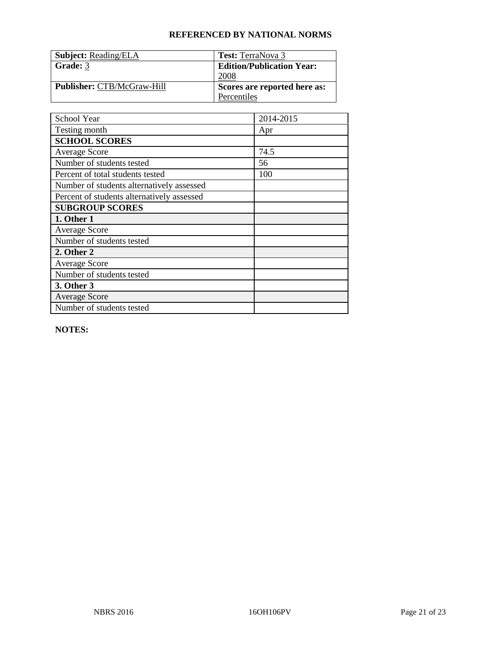| <b>Subject: Reading/ELA</b>       | <b>Test:</b> TerraNova 3         |
|-----------------------------------|----------------------------------|
| Grade: 3                          | <b>Edition/Publication Year:</b> |
|                                   | 2008                             |
| <b>Publisher: CTB/McGraw-Hill</b> | Scores are reported here as:     |
|                                   | Percentiles                      |

| School Year                                | 2014-2015 |
|--------------------------------------------|-----------|
| Testing month                              | Apr       |
| <b>SCHOOL SCORES</b>                       |           |
| <b>Average Score</b>                       | 74.5      |
| Number of students tested                  | 56        |
| Percent of total students tested           | 100       |
| Number of students alternatively assessed  |           |
| Percent of students alternatively assessed |           |
| <b>SUBGROUP SCORES</b>                     |           |
| 1. Other 1                                 |           |
| <b>Average Score</b>                       |           |
| Number of students tested                  |           |
| 2. Other 2                                 |           |
| <b>Average Score</b>                       |           |
| Number of students tested                  |           |
| 3. Other 3                                 |           |
| <b>Average Score</b>                       |           |
| Number of students tested                  |           |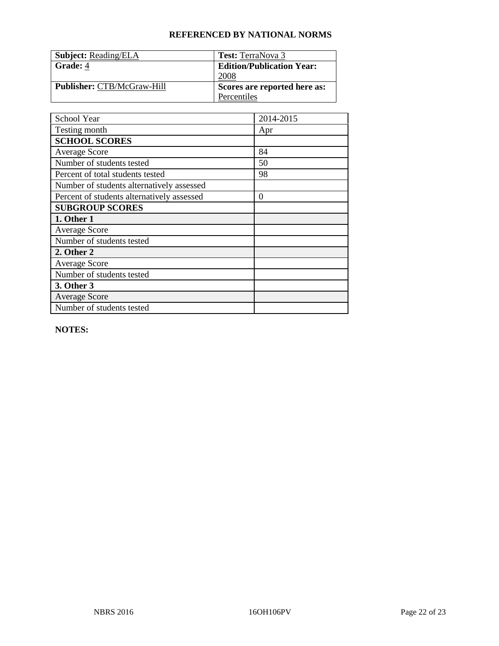| <b>Subject: Reading/ELA</b>       | <b>Test:</b> TerraNova 3         |
|-----------------------------------|----------------------------------|
| Grade: 4                          | <b>Edition/Publication Year:</b> |
|                                   | 2008                             |
| <b>Publisher: CTB/McGraw-Hill</b> | Scores are reported here as:     |
|                                   | Percentiles                      |

| School Year                                | 2014-2015        |
|--------------------------------------------|------------------|
| Testing month                              | Apr              |
| <b>SCHOOL SCORES</b>                       |                  |
| <b>Average Score</b>                       | 84               |
| Number of students tested                  | 50               |
| Percent of total students tested           | 98               |
| Number of students alternatively assessed  |                  |
| Percent of students alternatively assessed | $\boldsymbol{0}$ |
| <b>SUBGROUP SCORES</b>                     |                  |
| 1. Other 1                                 |                  |
| Average Score                              |                  |
| Number of students tested                  |                  |
| 2. Other 2                                 |                  |
| <b>Average Score</b>                       |                  |
| Number of students tested                  |                  |
| 3. Other 3                                 |                  |
| <b>Average Score</b>                       |                  |
| Number of students tested                  |                  |